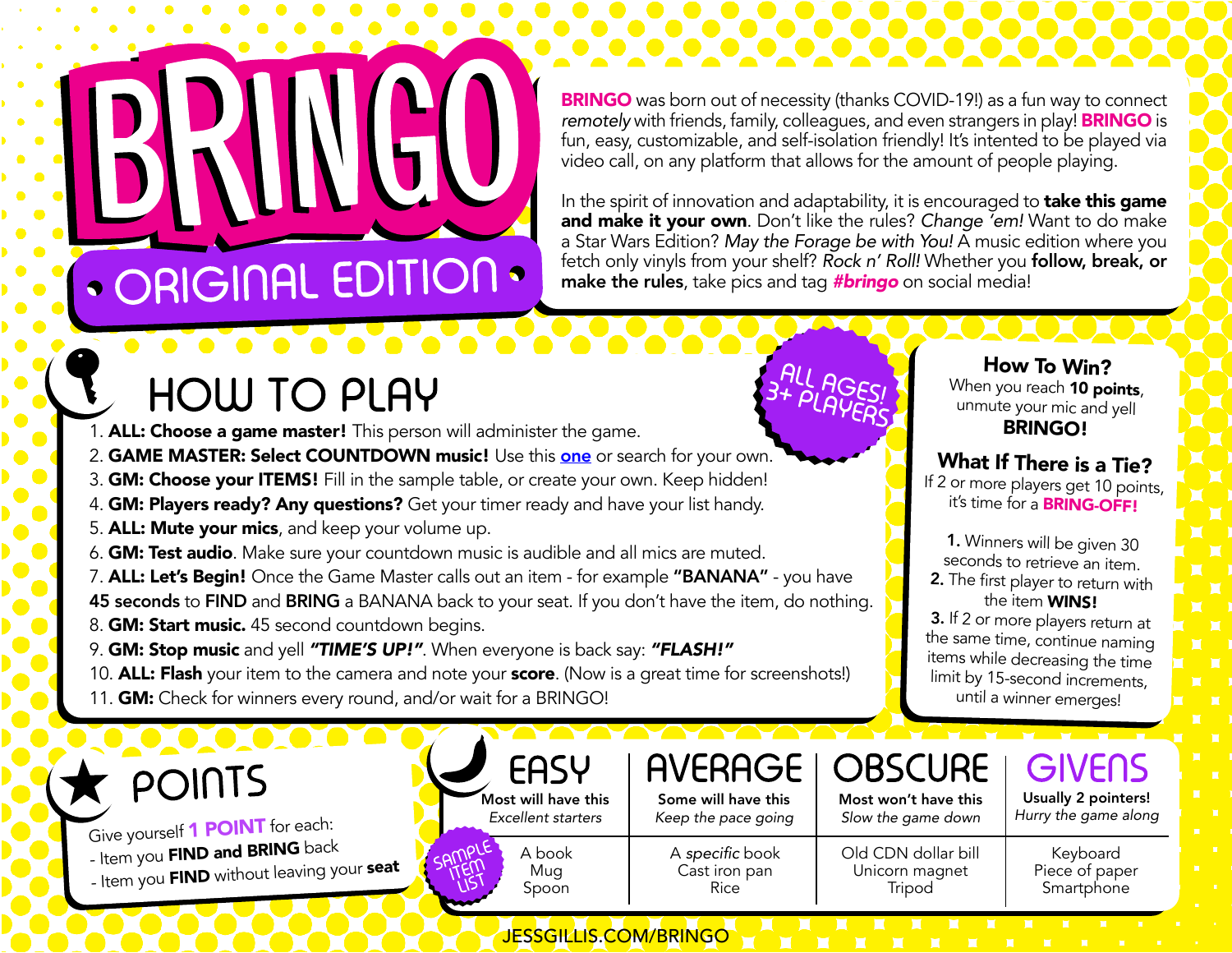**BRINGO** was born out of necessity (thanks COVID-19!) as a fun way to connect *remotely* with friends, family, colleagues, and even strangers in play! **BRINGO** is fun, easy, customizable, and self-isolation friendly! It's intented to be played via video call, on any platform that allows for the amount of people playing.

. . . . . .

In the spirit of innovation and adaptability, it is encouraged to **take this game** and make it your own. Don't like the rules? *Change 'em!* Want to do make a Star Wars Edition? May the Forage be with You! A music edition where you fetch only vinyls from your shelf? *Rock n' Roll!* Whether you follow, break, or make the rules, take pics and tag *#bringo* on social media!

### **HOW TO PLAY**

· ORIGINAL EDITION ·

- 1. ALL: Choose a game master! This person will administer the game.
- 2. GAME MASTER: Select COUNTDOWN music! Use this [one](https://www.youtube.com/watch?v=j8LqfoFWWC4) or search for your own.
- 3. **GM: Choose your ITEMS!** Fill in the sample table, or create your own. Keep hidden!
- 4. **GM: Players ready? Any questions?** Get your timer ready and have your list handy.
- 5. ALL: Mute your mics, and keep your volume up.
- 6. GM: Test audio. Make sure your countdown music is audible and all mics are muted.
- 7. ALL: Let's Begin! Once the Game Master calls out an item for example "BANANA" you have 45 seconds to FIND and BRING a BANANA back to your seat. If you don't have the item, do nothing. 8. **GM: Start music.** 45 second countdown begins.
- 9. GM: Stop music and yell *"TIME'S UP!"*. When everyone is back say: *"FLASH!"*
- 10. ALL: Flash your item to the camera and note your score. (Now is a great time for screenshots!)
- 11. **GM:** Check for winners every round, and/or wait for a BRINGO!

### $\blacktriangleright$  points

Give yourself 1 **POINT** for each: - Item you **FIND and BRING** back - Item you FIND without leaving your seat



### **AVERAGE**

Some will have this *Keep the pace going*

A specific book Cast iron pan Rice

JESSGILLIS.COM/BRINGO

How To Win? When you reach 10 points, unmute your mic and yell BRINGO!

#### What If There is a Tie?

If 2 or more players get 10 points, it's time for a **BRING-OFF!** 

1. Winners will be given 30 seconds to retrieve an item. 2. The first player to return with

the item WINS!

3. If 2 or more players return at the same time, continue naming items while decreasing the time limit by 15-second increments, until a winner emerges!

| OBSCURE                                    | GIVELIS                                     |  |  |
|--------------------------------------------|---------------------------------------------|--|--|
| Most won't have this<br>Slow the game down | Usually 2 pointers!<br>Hurry the game along |  |  |
| CDN dollar bill                            | Kevboard                                    |  |  |

Unicorn magnet Tripod

OBS

Keyboard Piece of paper Smartphone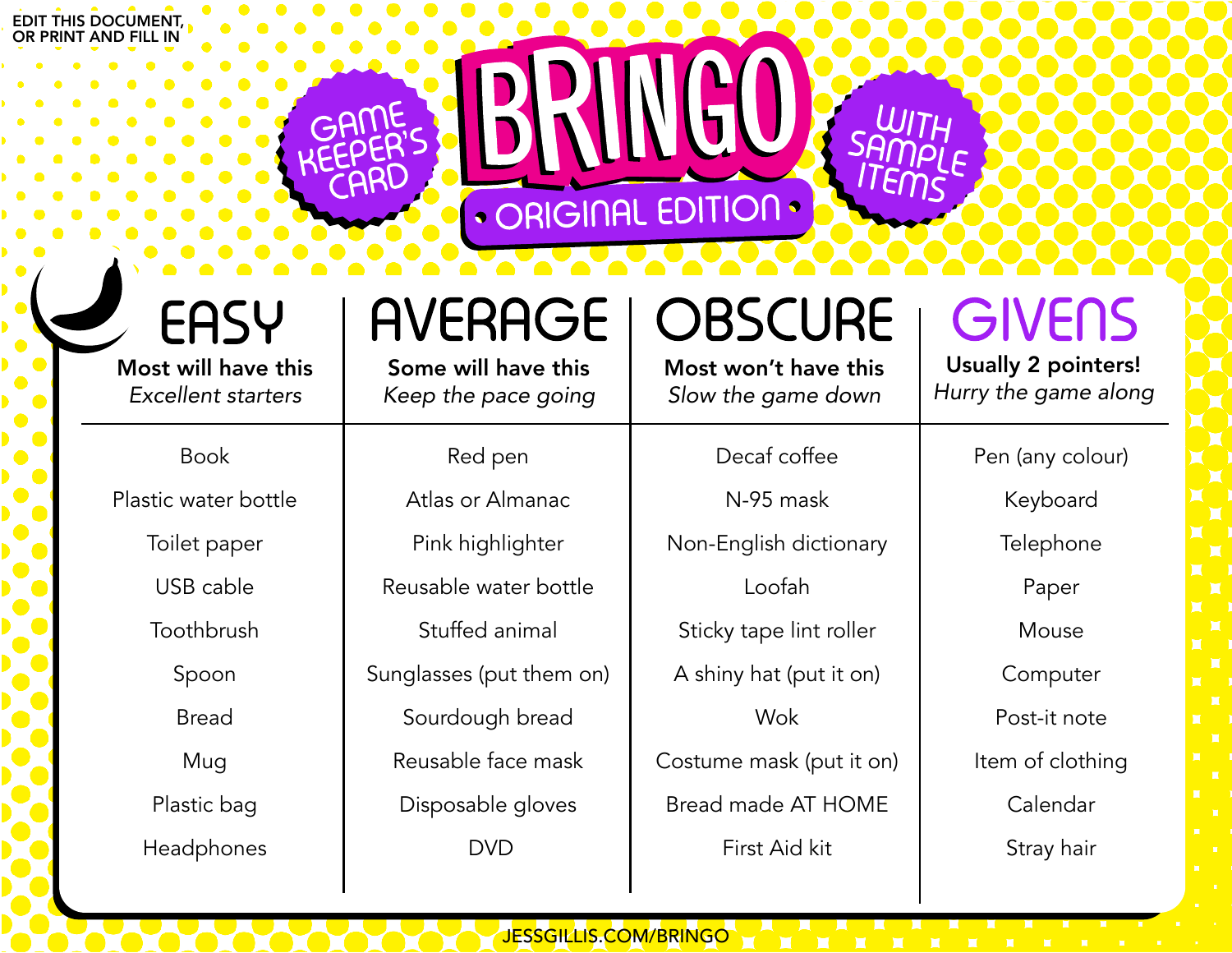#### EDIT THIS DOCUMENT, OR PRINT AND FILL IN

## EASY

Most will have this *Excellent starters*

#### Book

Plastic water bottle

Toilet paper

USB cable

**Toothbrush** 

Spoon

Bread

Mug

Plastic bag

Headphones

## **AVERAGE**

**• ORIGINAL** 

Some will have this *Keep the pace going*

### Red pen

Atlas or Almanac Pink highlighter Reusable water bottle Stuffed animal Sunglasses (put them on) Sourdough bread Reusable face mask Disposable gloves DVD

JESSGILLIS.COM/BRINGO

# **OBSCURE**

Most won't have this *Slow the game down*

#### Decaf coffee

N-95 mask Non-English dictionary Loofah Sticky tape lint roller A shiny hat (put it on) Wok

Costume mask (put it on) Bread made AT HOME First Aid kit

## **GIVENS**

Usually 2 pointers! *Hurry the game along*

Pen (any colour)

Keyboard

**Telephone** 

Paper

Mouse

Computer

Post-it note

Item of clothing

Calendar

Stray hair